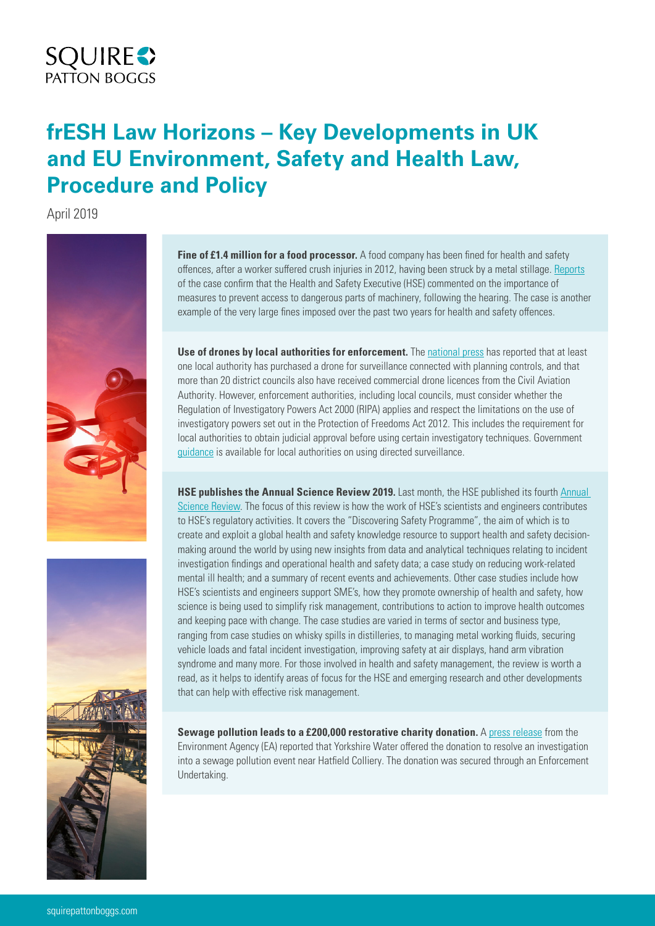# **SQUIRE**<sup>2</sup>

## **frESH Law Horizons – Key Developments in UK and EU Environment, Safety and Health Law, Procedure and Policy**

April 2019



**Fine of £1.4 million for a food processor.** A food company has been fined for health and safety offences, after a worker suffered crush injuries in 2012, having been struck by a metal stillage. [Reports](https://www.ioshmagazine.com/article/1.4m-fine-for-2-sisters-food-group-after-worker-s-torso-crushed) of the case confirm that the Health and Safety Executive (HSE) commented on the importance of measures to prevent access to dangerous parts of machinery, following the hearing. The case is another example of the very large fines imposed over the past two years for health and safety offences.

Use of drones by local authorities for enforcement. The [national press](https://www.telegraph.co.uk/news/2019/04/28/concern-councils-using-drones-snoop-planning-extensions-dozens/) has reported that at least one local authority has purchased a drone for surveillance connected with planning controls, and that more than 20 district councils also have received commercial drone licences from the Civil Aviation Authority. However, enforcement authorities, including local councils, must consider whether the Regulation of Investigatory Powers Act 2000 (RIPA) applies and respect the limitations on the use of investigatory powers set out in the Protection of Freedoms Act 2012. This includes the requirement for local authorities to obtain judicial approval before using certain investigatory techniques. Government [guidance](https://www.gov.uk/government/publications/changes-to-local-authority-use-of-ripa) is available for local authorities on using directed surveillance.

**HSE publishes the [Annual](http://www.hse.gov.uk/research/content/science-review-2019.pdf) Science Review 2019.** Last month, the HSE published its fourth Annual [Science Review](http://www.hse.gov.uk/research/content/science-review-2019.pdf). The focus of this review is how the work of HSE's scientists and engineers contributes to HSE's regulatory activities. It covers the "Discovering Safety Programme", the aim of which is to create and exploit a global health and safety knowledge resource to support health and safety decisionmaking around the world by using new insights from data and analytical techniques relating to incident investigation findings and operational health and safety data; a case study on reducing work-related mental ill health; and a summary of recent events and achievements. Other case studies include how HSE's scientists and engineers support SME's, how they promote ownership of health and safety, how science is being used to simplify risk management, contributions to action to improve health outcomes and keeping pace with change. The case studies are varied in terms of sector and business type, ranging from case studies on whisky spills in distilleries, to managing metal working fluids, securing vehicle loads and fatal incident investigation, improving safety at air displays, hand arm vibration syndrome and many more. For those involved in health and safety management, the review is worth a read, as it helps to identify areas of focus for the HSE and emerging research and other developments that can help with effective risk management.

**Sewage pollution leads to a £200,000 restorative charity donation.** A [press release](https://www.gov.uk/government/news/sewage-pollution-leads-to-200000-restorative-charity-donation) from the Environment Agency (EA) reported that Yorkshire Water offered the donation to resolve an investigation into a sewage pollution event near Hatfield Colliery. The donation was secured through an Enforcement Undertaking.

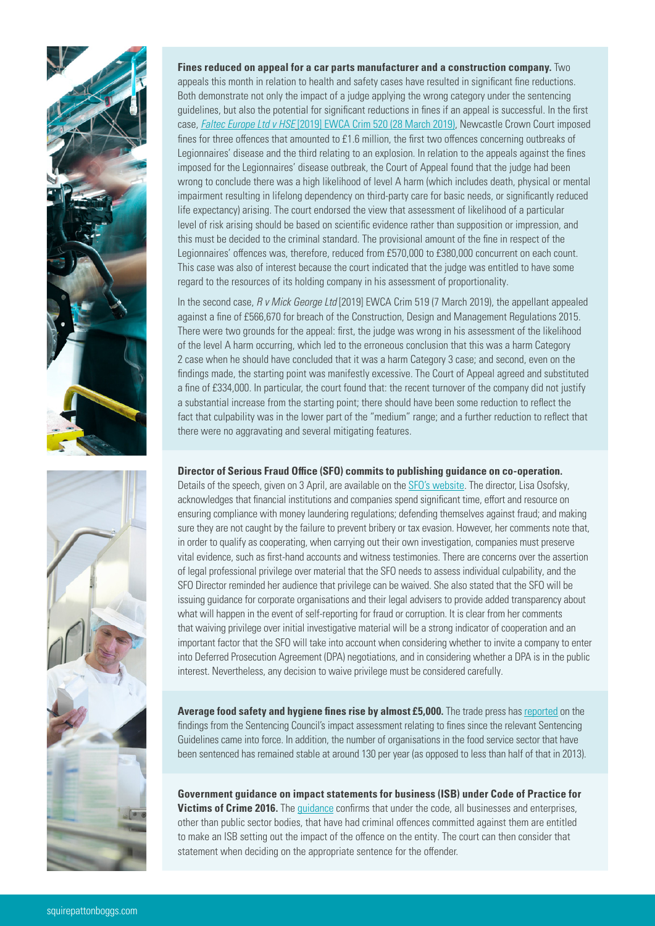



**Fines reduced on appeal for a car parts manufacturer and a construction company.** Two appeals this month in relation to health and safety cases have resulted in significant fine reductions. Both demonstrate not only the impact of a judge applying the wrong category under the sentencing guidelines, but also the potential for significant reductions in fines if an appeal is successful. In the first case, *Faltec Europe Ltd v HSE* [\[2019\] EWCA Crim 520 \(28 March 2019\),](https://www.casemine.com/judgement/uk/5ca2ecc42c94e01fecae617e) Newcastle Crown Court imposed fines for three offences that amounted to £1.6 million, the first two offences concerning outbreaks of Legionnaires' disease and the third relating to an explosion. In relation to the appeals against the fines imposed for the Legionnaires' disease outbreak, the Court of Appeal found that the judge had been wrong to conclude there was a high likelihood of level A harm (which includes death, physical or mental impairment resulting in lifelong dependency on third-party care for basic needs, or significantly reduced life expectancy) arising. The court endorsed the view that assessment of likelihood of a particular level of risk arising should be based on scientific evidence rather than supposition or impression, and this must be decided to the criminal standard. The provisional amount of the fine in respect of the Legionnaires' offences was, therefore, reduced from £570,000 to £380,000 concurrent on each count. This case was also of interest because the court indicated that the judge was entitled to have some regard to the resources of its holding company in his assessment of proportionality.

In the second case, *R v Mick George Ltd* [2019] EWCA Crim 519 (7 March 2019), the appellant appealed against a fine of £566,670 for breach of the Construction, Design and Management Regulations 2015. There were two grounds for the appeal: first, the judge was wrong in his assessment of the likelihood of the level A harm occurring, which led to the erroneous conclusion that this was a harm Category 2 case when he should have concluded that it was a harm Category 3 case; and second, even on the findings made, the starting point was manifestly excessive. The Court of Appeal agreed and substituted a fine of £334,000. In particular, the court found that: the recent turnover of the company did not justify a substantial increase from the starting point; there should have been some reduction to reflect the fact that culpability was in the lower part of the "medium" range; and a further reduction to reflect that there were no aggravating and several mitigating features.

#### **Director of Serious Fraud Office (SFO) commits to publishing guidance on co-operation.**

Details of the speech, given on 3 April, are available on the [SFO's website](https://www.sfo.gov.uk/2019/04/03/fighting-fraud-and-corruption-in-a-shrinking-world/). The director, Lisa Osofsky, acknowledges that financial institutions and companies spend significant time, effort and resource on ensuring compliance with money laundering regulations; defending themselves against fraud; and making sure they are not caught by the failure to prevent bribery or tax evasion. However, her comments note that, in order to qualify as cooperating, when carrying out their own investigation, companies must preserve vital evidence, such as first-hand accounts and witness testimonies. There are concerns over the assertion of legal professional privilege over material that the SFO needs to assess individual culpability, and the SFO Director reminded her audience that privilege can be waived. She also stated that the SFO will be issuing guidance for corporate organisations and their legal advisers to provide added transparency about what will happen in the event of self-reporting for fraud or corruption. It is clear from her comments that waiving privilege over initial investigative material will be a strong indicator of cooperation and an important factor that the SFO will take into account when considering whether to invite a company to enter into Deferred Prosecution Agreement (DPA) negotiations, and in considering whether a DPA is in the public interest. Nevertheless, any decision to waive privilege must be considered carefully.

**Average food safety and hygiene fines rise by almost £5,000.** The trade press has [reported](https://www.morningadvertiser.co.uk/Article/2019/04/25/How-high-are-fines-for-food-safety-and-hygiene-offences) on the findings from the Sentencing Council's impact assessment relating to fines since the relevant Sentencing Guidelines came into force. In addition, the number of organisations in the food service sector that have been sentenced has remained stable at around 130 per year (as opposed to less than half of that in 2013).

**Government guidance on impact statements for business (ISB) under Code of Practice for Victims of Crime 2016.** The *[guidance](https://www.gov.uk/government/publications/impact-statements-for-business/impact-statements-for-business-guidance) confirms that under the code*, all businesses and enterprises, other than public sector bodies, that have had criminal offences committed against them are entitled to make an ISB setting out the impact of the offence on the entity. The court can then consider that statement when deciding on the appropriate sentence for the offender.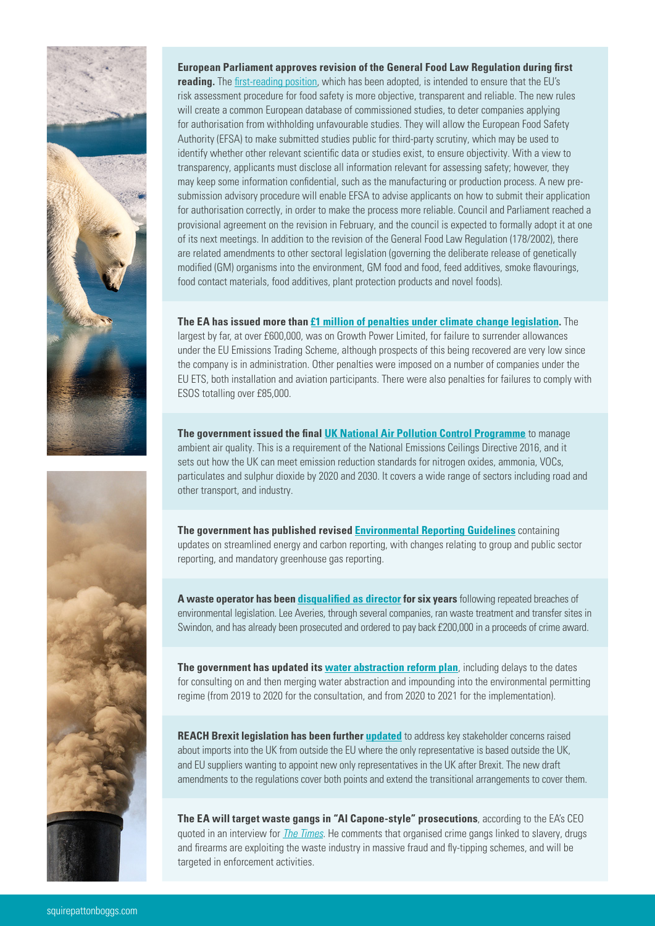



### **European Parliament approves revision of the General Food Law Regulation during first reading.** The [first-reading position](http://www.europarl.europa.eu/doceo/document/TA-8-2019-0400_EN.pdf?redirect), which has been adopted, is intended to ensure that the EU's risk assessment procedure for food safety is more objective, transparent and reliable. The new rules will create a common European database of commissioned studies, to deter companies applying for authorisation from withholding unfavourable studies. They will allow the European Food Safety Authority (EFSA) to make submitted studies public for third-party scrutiny, which may be used to identify whether other relevant scientific data or studies exist, to ensure objectivity. With a view to transparency, applicants must disclose all information relevant for assessing safety; however, they may keep some information confidential, such as the manufacturing or production process. A new presubmission advisory procedure will enable EFSA to advise applicants on how to submit their application for authorisation correctly, in order to make the process more reliable. Council and Parliament reached a provisional agreement on the revision in February, and the council is expected to formally adopt it at one of its next meetings. In addition to the revision of the General Food Law Regulation (178/2002), there are related amendments to other sectoral legislation (governing the deliberate release of genetically modified (GM) organisms into the environment, GM food and food, feed additives, smoke flavourings, food contact materials, food additives, plant protection products and novel foods).

**The EA has issued more than [£1 million of penalties under climate change legislation](https://data.gov.uk/dataset/13c0893a-049a-4608-9f9b-7f268a71f15a/climate-change-civil-penalties).** The largest by far, at over £600,000, was on Growth Power Limited, for failure to surrender allowances under the EU Emissions Trading Scheme, although prospects of this being recovered are very low since the company is in administration. Other penalties were imposed on a number of companies under the EU ETS, both installation and aviation participants. There were also penalties for failures to comply with ESOS totalling over £85,000.

**The government issued the final [UK National Air Pollution Control Programme](https://www.gov.uk/government/publications/air-quality-uk-national-air-pollution-control-programme)** to manage ambient air quality. This is a requirement of the National Emissions Ceilings Directive 2016, and it sets out how the UK can meet emission reduction standards for nitrogen oxides, ammonia, VOCs, particulates and sulphur dioxide by 2020 and 2030. It covers a wide range of sectors including road and other transport, and industry.

**The government has published revised [Environmental Reporting Guidelines](https://www.gov.uk/government/publications/environmental-reporting-guidelines-including-mandatory-greenhouse-gas-emissions-reporting-guidance)** containing updates on streamlined energy and carbon reporting, with changes relating to group and public sector reporting, and mandatory greenhouse gas reporting.

**A waste operator has been [disqualified as director](https://www.gov.uk/government/news/waste-boss-banned-for-breaching-environmental-legislation) for six years** following repeated breaches of environmental legislation. Lee Averies, through several companies, ran waste treatment and transfer sites in Swindon, and has already been prosecuted and ordered to pay back £200,000 in a proceeds of crime award.

**The government has updated its [water abstraction reform plan](https://www.gov.uk/government/publications/water-abstraction-plan-2017/water-abstraction-plan)**, including delays to the dates for consulting on and then merging water abstraction and impounding into the environmental permitting regime (from 2019 to 2020 for the consultation, and from 2020 to 2021 for the implementation).

**REACH Brexit legislation has been further [updated](https://www.gov.uk/eu-withdrawal-act-2018-statutory-instruments/the-reach-etc-amendment-etc-eu-exit-no-2-regulations-2019)** to address key stakeholder concerns raised about imports into the UK from outside the EU where the only representative is based outside the UK, and EU suppliers wanting to appoint new only representatives in the UK after Brexit. The new draft amendments to the regulations cover both points and extend the transitional arrangements to cover them.

**The EA will target waste gangs in "Al Capone-style" prosecutions**, according to the EA's CEO quoted in an interview for *[The Times](https://www.thetimes.co.uk/article/crime-gangs-turn-to-mass-fly-tipping-and-waste-fraud-zxb56p0b2)*. He comments that organised crime gangs linked to slavery, drugs and firearms are exploiting the waste industry in massive fraud and fly-tipping schemes, and will be targeted in enforcement activities.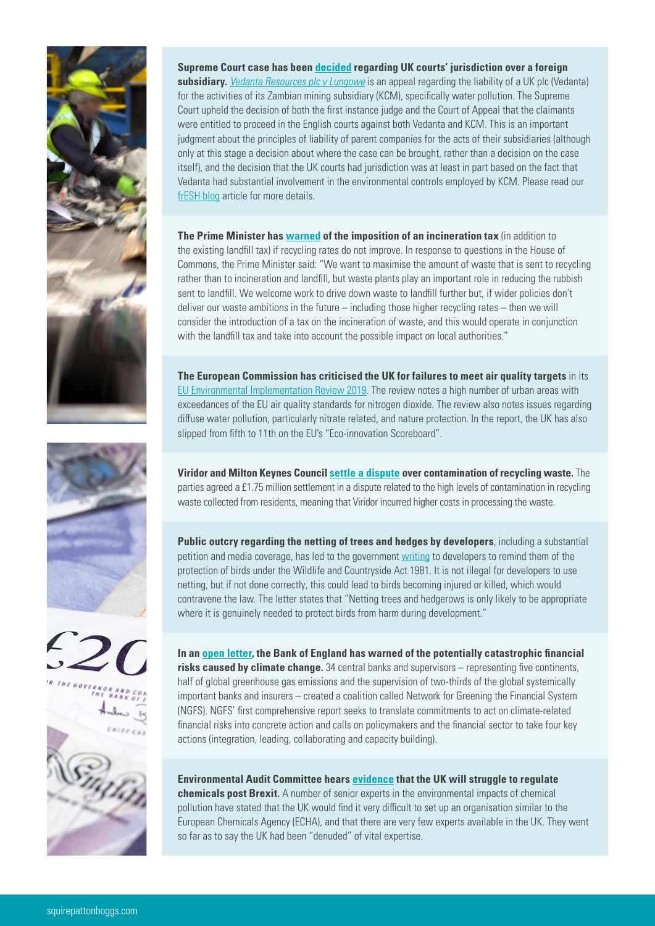

**Supreme Court case has been [decided](https://www.bbc.co.uk/news/business-47881230) regarding UK courts' jurisdiction over a foreign subsidiary.** *[Vedanta Resources plc v Lungowe](https://www.supremecourt.uk/cases/uksc-2017-0185.html)* is an appeal regarding the liability of a UK plc (Vedanta) for the activities of its Zambian mining subsidiary (KCM), specifically water pollution. The Supreme Court upheld the decision of both the first instance judge and the Court of Appeal that the claimants were entitled to proceed in the English courts against both Vedanta and KCM. This is an important judgment about the principles of liability of parent companies for the acts of their subsidiaries (although only at this stage a decision about where the case can be brought, rather than a decision on the case itself), and the decision that the UK courts had jurisdiction was at least in part based on the fact that Vedanta had substantial involvement in the environmental controls employed by KCM. Please read our [frESH blog](https://www.freshlawblog.com/2019/05/01/uk-supreme-court-considering-parent-company-liability-for-environmental-harm-caused-by-overseas-subsidiaries/) article for more details.

**The Prime Minister has [warned](https://www.mrw.co.uk/latest/prime-minister-warns-of-incineration-tax-if-recycling-rates-missed/10041909.article) of the imposition of an incineration tax** (in addition to the existing landfill tax) if recycling rates do not improve. In response to questions in the House of Commons, the Prime Minister said: "We want to maximise the amount of waste that is sent to recycling rather than to incineration and landfill, but waste plants play an important role in reducing the rubbish sent to landfill. We welcome work to drive down waste to landfill further but, if wider policies don't deliver our waste ambitions in the future – including those higher recycling rates – then we will consider the introduction of a tax on the incineration of waste, and this would operate in conjunction with the landfill tax and take into account the possible impact on local authorities."

**The European Commission has criticised the UK for failures to meet air quality targets** in its [EU Environmental Implementation Review 2019](http://ec.europa.eu/environment/eir/pdf/report_uk_en.pdf). The review notes a high number of urban areas with exceedances of the EU air quality standards for nitrogen dioxide. The review also notes issues regarding diffuse water pollution, particularly nitrate related, and nature protection. In the report, the UK has also slipped from fifth to 11th on the EU's "Eco-innovation Scoreboard".

**Viridor and Milton Keynes Council [settle a dispute](https://ciwm-journal.co.uk/viridor-and-milton-keynes-agree-1-75m-contamination-settlement/) over contamination of recycling waste.** The parties agreed a £1.75 million settlement in a dispute related to the high levels of contamination in recycling waste collected from residents, meaning that Viridor incurred higher costs in processing the waste.

**Public outcry regarding the netting of trees and hedges by developers**, including a substantial petition and media coverage, has led to the government [writing](https://www.gov.uk/government/news/protect-birds-when-building-says-james-brokenshire) to developers to remind them of the protection of birds under the Wildlife and Countryside Act 1981. It is not illegal for developers to use netting, but if not done correctly, this could lead to birds becoming injured or killed, which would contravene the law. The letter states that "Netting trees and hedgerows is only likely to be appropriate where it is genuinely needed to protect birds from harm during development."

**In an [open letter,](https://www.bankofengland.co.uk/news/2019/april/open-letter-on-climate-related-financial-risks) the Bank of England has warned of the potentially catastrophic financial risks caused by climate change.** 34 central banks and supervisors – representing five continents, half of global greenhouse gas emissions and the supervision of two-thirds of the global systemically important banks and insurers – created a coalition called Network for Greening the Financial System (NGFS). NGFS' first comprehensive report seeks to translate commitments to act on climate-related financial risks into concrete action and calls on policymakers and the financial sector to take four key actions (integration, leading, collaborating and capacity building).

**Environmental Audit Committee hears [evidence](https://www.parliament.uk/business/committees/committees-a-z/commons-select/environmental-audit-committee/news-parliament-2017/toxic-chemicals-evidence-17-19/) that the UK will struggle to regulate chemicals post Brexit.** A number of senior experts in the environmental impacts of chemical pollution have stated that the UK would find it very difficult to set up an organisation similar to the European Chemicals Agency (ECHA), and that there are very few experts available in the UK. They went so far as to say the UK had been "denuded" of vital expertise.

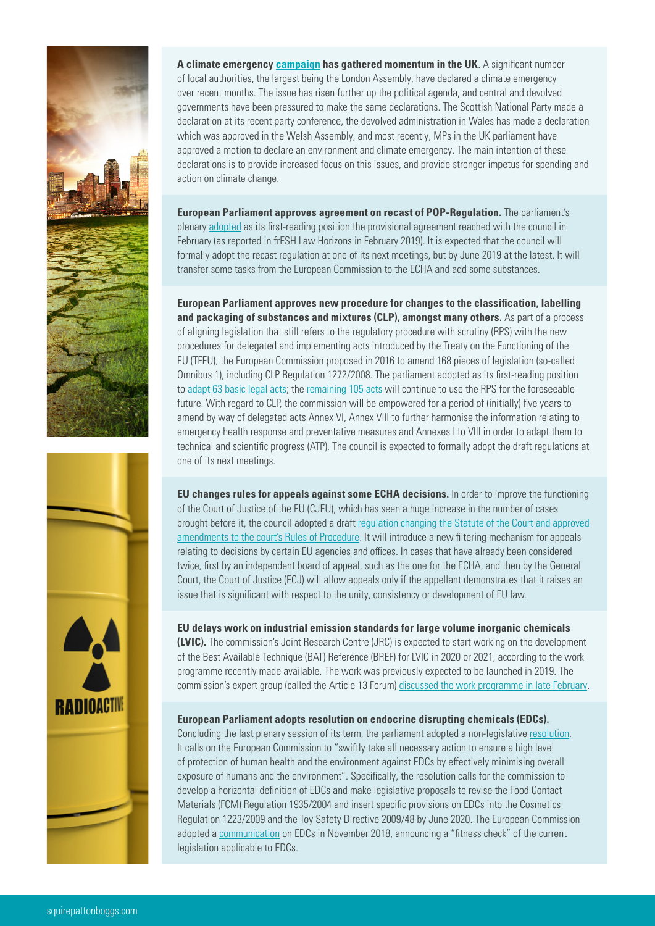

**A climate emergency [campaign](https://www.campaigncc.org/councils_climate_emergency) has gathered momentum in the UK**. A significant number of local authorities, the largest being the London Assembly, have declared a climate emergency over recent months. The issue has risen further up the political agenda, and central and devolved governments have been pressured to make the same declarations. The Scottish National Party made a declaration at its recent party conference, the devolved administration in Wales has made a declaration which was approved in the Welsh Assembly, and most recently, MPs in the UK parliament have approved a motion to declare an environment and climate emergency. The main intention of these declarations is to provide increased focus on this issues, and provide stronger impetus for spending and action on climate change.

**European Parliament approves agreement on recast of POP-Regulation.** The parliament's plenary [adopted](file:///Volumes/office/Job%20Bags/2019/5%20May%20-%2034247%20-/34254%20-%20CS%20-%20frESH%20Law%20Horizons%20April%20Newsletter/Word-Amends%20Docs/uropa.eu/doceo/document/TA-8-2019-0436_EN.html?redirect) as its first-reading position the provisional agreement reached with the council in February (as reported in frESH Law Horizons in February 2019). It is expected that the council will formally adopt the recast regulation at one of its next meetings, but by June 2019 at the latest. It will transfer some tasks from the European Commission to the ECHA and add some substances.

**European Parliament approves new procedure for changes to the classification, labelling and packaging of substances and mixtures (CLP), amongst many others.** As part of a process of aligning legislation that still refers to the regulatory procedure with scrutiny (RPS) with the new procedures for delegated and implementing acts introduced by the Treaty on the Functioning of the EU (TFEU), the European Commission proposed in 2016 to amend 168 pieces of legislation (so-called Omnibus 1), including CLP Regulation 1272/2008. The parliament adopted as its first-reading position to [adapt 63 basic legal acts;](http://www.europarl.europa.eu/doceo/document/TA-8-2019-0410_EN.html?redirect) the [remaining 105 acts](http://www.europarl.europa.eu/doceo/document/TA-8-2019-0409_EN.html?redirect) will continue to use the RPS for the foreseeable future. With regard to CLP, the commission will be empowered for a period of (initially) five years to amend by way of delegated acts Annex VI, Annex VIII to further harmonise the information relating to emergency health response and preventative measures and Annexes I to VIII in order to adapt them to technical and scientific progress (ATP). The council is expected to formally adopt the draft regulations at one of its next meetings.

**EU changes rules for appeals against some ECHA decisions.** In order to improve the functioning of the Court of Justice of the EU (CJEU), which has seen a huge increase in the number of cases brought before it, the council adopted a draft [regulation changing the Statute of the Court](https://data.consilium.europa.eu/doc/document/PE-1-2019-INIT/en/pdf) and approved [amendments to the court's Rules of Procedure.](https://www.consilium.europa.eu/register/en/content/out?typ=SET&i=ADV&RESULTSET=1&DOC_TITLE=&CONTENTS=&DOC_ID=7599%2F19&DOS_INTERINST=&DOC_SUBJECT=&DOC_SUBTYPE=&DOC_DATE=&document_date_from_date=&document_date_from_date_submit=&document_date_to_date=&document_date_to_date_submit=&MEET_DATE=&meeting_date_from_date=&meeting_date_from_date_submit=&meeting_date_to_date=&meeting_date_to_date_submit=&DOC_LANCD=EN&ROWSPP=25&NRROWS=500&ORDERBY=DOC_DATE+DESC) It will introduce a new filtering mechanism for appeals relating to decisions by certain EU agencies and offices. In cases that have already been considered twice, first by an independent board of appeal, such as the one for the ECHA, and then by the General Court, the Court of Justice (ECJ) will allow appeals only if the appellant demonstrates that it raises an issue that is significant with respect to the unity, consistency or development of EU law.

#### **EU delays work on industrial emission standards for large volume inorganic chemicals**

**(LVIC).** The commission's Joint Research Centre (JRC) is expected to start working on the development of the Best Available Technique (BAT) Reference (BREF) for LVIC in 2020 or 2021, according to the work programme recently made available. The work was previously expected to be launched in 2019. The commission's expert group (called the Article 13 Forum) [discussed the work programme in late February.](http://ec.europa.eu/transparency/regexpert/index.cfm?do=groupDetail.groupMeetingDoc&docid=27528)

#### **European Parliament adopts resolution on endocrine disrupting chemicals (EDCs).**

Concluding the last plenary session of its term, the parliament adopted a non-legislative [resolution.](http://www.europarl.europa.eu/doceo/document/B-8-2019-0241_EN.html) It calls on the European Commission to "swiftly take all necessary action to ensure a high level of protection of human health and the environment against EDCs by effectively minimising overall exposure of humans and the environment". Specifically, the resolution calls for the commission to develop a horizontal definition of EDCs and make legislative proposals to revise the Food Contact Materials (FCM) Regulation 1935/2004 and insert specific provisions on EDCs into the Cosmetics Regulation 1223/2009 and the Toy Safety Directive 2009/48 by June 2020. The European Commission adopted a [communication](https://eur-lex.europa.eu/legal-content/en/TXT/?uri=CELEX:52018DC0734) on EDCs in November 2018, announcing a "fitness check" of the current legislation applicable to EDCs.